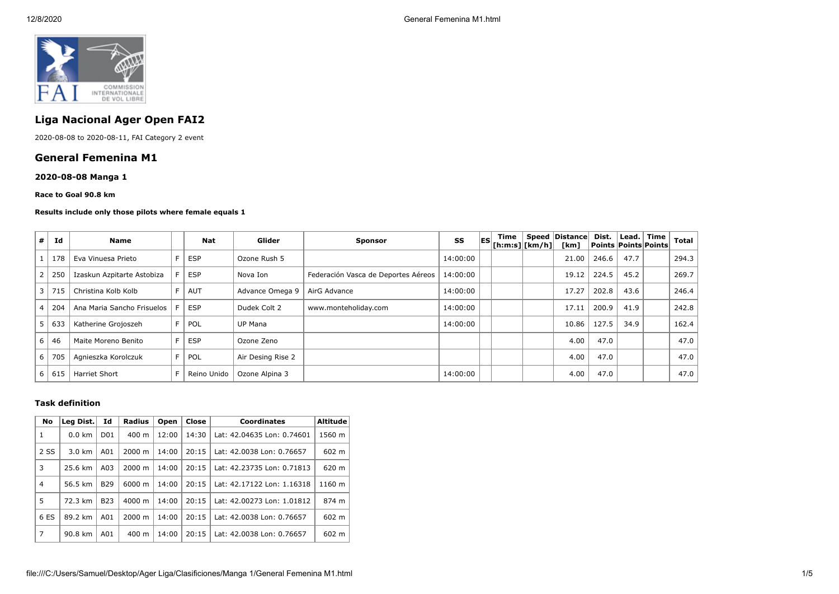

# **Liga Nacional Ager Open FAI2**

2020-08-08 to 2020-08-11, FAI Category 2 event

## **General Femenina M1**

## **2020-08-08 Manga 1**

#### **Race to Goal 90.8 km**

#### **Results include only those pilots where female equals 1**

| #              | Id  | <b>Name</b>                | Nat         | Glider            | <b>Sponsor</b>                      | SS       | lesi | Time<br>[ h: m: s]   [ km/h ] | Speed | Distance<br>[km] | Dist.<br>Points   Points   Points | Lead. | Time | Total |
|----------------|-----|----------------------------|-------------|-------------------|-------------------------------------|----------|------|-------------------------------|-------|------------------|-----------------------------------|-------|------|-------|
|                | 178 | Eva Vinuesa Prieto         | <b>ESP</b>  | Ozone Rush 5      |                                     | 14:00:00 |      |                               |       | 21.00            | 246.6                             | 47.7  |      | 294.3 |
| $\overline{2}$ | 250 | Izaskun Azpitarte Astobiza | <b>ESP</b>  | Nova Ion          | Federación Vasca de Deportes Aéreos | 14:00:00 |      |                               |       | 19.12            | 224.5                             | 45.2  |      | 269.7 |
| $\overline{3}$ | 715 | Christina Kolb Kolb        | AUT         | Advance Omega 9   | AirG Advance                        | 14:00:00 |      |                               |       | 17.27            | 202.8                             | 43.6  |      | 246.4 |
| $^{\circ}$ 4   | 204 | Ana Maria Sancho Frisuelos | <b>ESP</b>  | Dudek Colt 2      | www.monteholiday.com                | 14:00:00 |      |                               |       | 17.11            | 200.9                             | 41.9  |      | 242.8 |
| 5              | 633 | Katherine Grojoszeh        | POL         | UP Mana           |                                     | 14:00:00 |      |                               |       | 10.86            | 127.5                             | 34.9  |      | 162.4 |
| 6              | 46  | Maite Moreno Benito        | <b>ESP</b>  | Ozone Zeno        |                                     |          |      |                               |       | 4.00             | 47.0                              |       |      | 47.0  |
| 6              | 705 | Agnieszka Korolczuk        | POL         | Air Desing Rise 2 |                                     |          |      |                               |       | 4.00             | 47.0                              |       |      | 47.0  |
| 6              | 615 | <b>Harriet Short</b>       | Reino Unido | Ozone Alpina 3    |                                     | 14:00:00 |      |                               |       | 4.00             | 47.0                              |       |      | 47.0  |

#### **Task definition**

| No             | Id<br>Leg Dist. |                 | Radius<br>Close<br><b>Coordinates</b><br>Open |       |       |                            | <b>Altitude</b> |
|----------------|-----------------|-----------------|-----------------------------------------------|-------|-------|----------------------------|-----------------|
| $\mathbf{1}$   | $0.0$ km        | D <sub>01</sub> | $400 \text{ m}$                               | 12:00 | 14:30 | Lat: 42.04635 Lon: 0.74601 | 1560 m          |
| 2 SS           | 3.0 km          | A01             | $2000 \; \text{m}$                            | 14:00 | 20:15 | Lat: 42.0038 Lon: 0.76657  | 602 m           |
| 3              | 25.6 km         | A03             | $2000 \; \text{m}$                            | 14:00 | 20:15 | Lat: 42.23735 Lon: 0.71813 | 620 m           |
| $\overline{4}$ | 56.5 km         | <b>B29</b>      | 6000 m                                        | 14:00 | 20:15 | Lat: 42.17122 Lon: 1.16318 | 1160 m          |
| 5              | 72.3 km         | <b>B23</b>      | $4000 \; \text{m}$                            | 14:00 | 20:15 | Lat: 42.00273 Lon: 1.01812 | 874 m           |
| 6 ES           | 89.2 km         | A01             | $2000 \; \text{m}$                            | 14:00 | 20:15 | Lat: 42.0038 Lon: 0.76657  | 602 m           |
| 7              | 90.8 km         | A01             | $400 \text{ m}$                               | 14:00 | 20:15 | Lat: 42.0038 Lon: 0.76657  | 602 m           |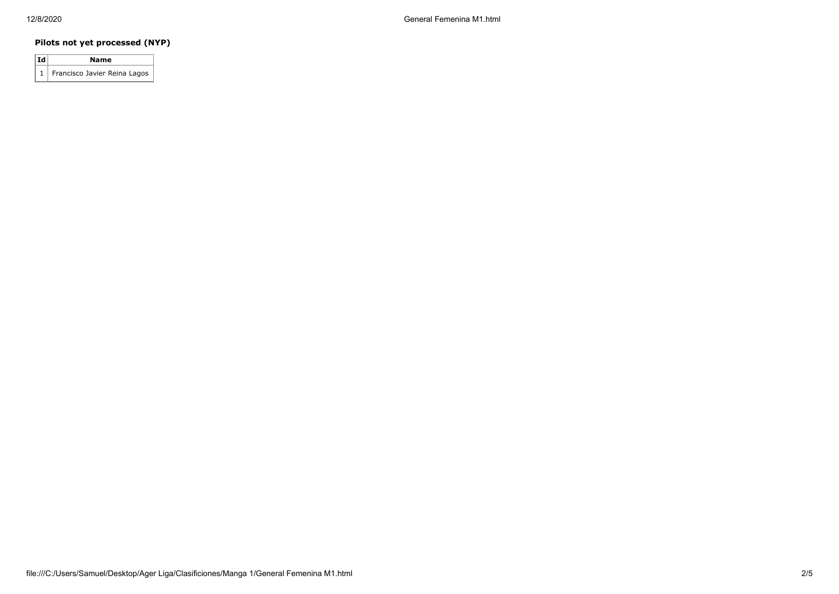## **Pilots not yet processed (NYP)**

| $ {\bf Id} $ | Name                             |
|--------------|----------------------------------|
|              | 1   Francisco Javier Reina Lagos |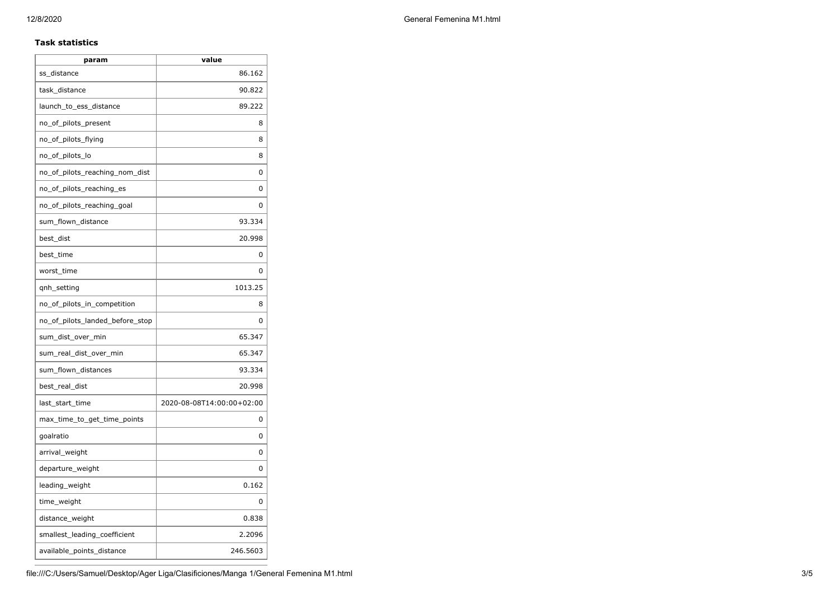### **Task statistics**

| param                           | value                     |
|---------------------------------|---------------------------|
| ss_distance                     | 86.162                    |
| task_distance                   | 90.822                    |
| launch_to_ess_distance          | 89.222                    |
| no_of_pilots_present            | 8                         |
| no_of_pilots_flying             | 8                         |
| no_of_pilots_lo                 | 8                         |
| no_of_pilots_reaching_nom_dist  | 0                         |
| no_of_pilots_reaching_es        | 0                         |
| no_of_pilots_reaching_goal      | 0                         |
| sum_flown_distance              | 93.334                    |
| best_dist                       | 20.998                    |
| best_time                       | 0                         |
| worst_time                      | 0                         |
| qnh_setting                     | 1013.25                   |
| no_of_pilots_in_competition     | 8                         |
| no_of_pilots_landed_before_stop | 0                         |
| sum_dist_over_min               | 65.347                    |
| sum_real_dist_over_min          | 65.347                    |
| sum_flown_distances             | 93.334                    |
| best_real_dist                  | 20.998                    |
| last_start_time                 | 2020-08-08T14:00:00+02:00 |
| max_time_to_get_time_points     | 0                         |
| goalratio                       | 0                         |
| arrival_weight                  | 0                         |
| departure_weight                | 0                         |
| leading_weight                  | 0.162                     |
| time_weight                     | 0                         |
| distance_weight                 | 0.838                     |
| smallest_leading_coefficient    | 2.2096                    |
| available_points_distance       | 246.5603                  |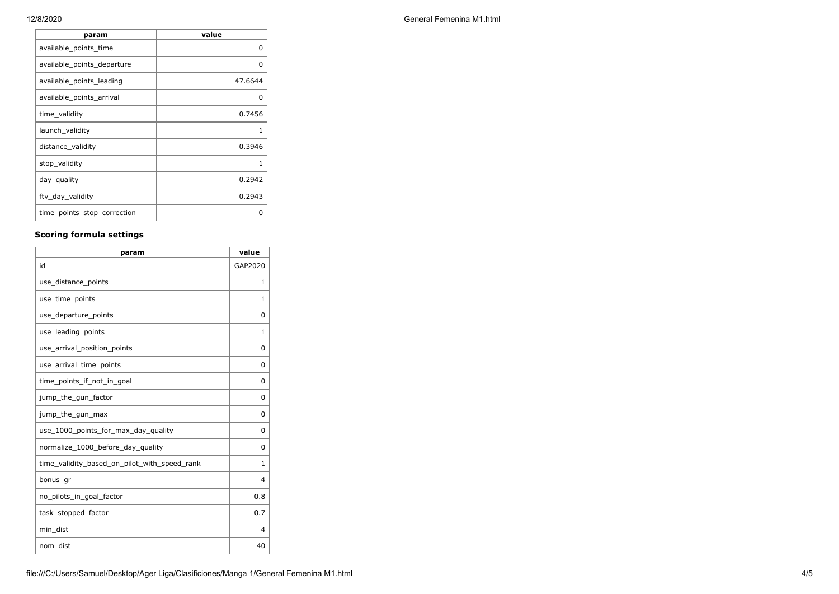| param                       | value   |
|-----------------------------|---------|
| available_points_time       | 0       |
| available_points_departure  | O       |
| available_points_leading    | 47.6644 |
| available_points_arrival    | O       |
| time_validity               | 0.7456  |
| launch_validity             | 1       |
| distance validity           | 0.3946  |
| stop_validity               | 1       |
| day_quality                 | 0.2942  |
| ftv_day_validity            | 0.2943  |
| time_points_stop_correction | n       |

## **Scoring formula settings**

| param                                        | value    |
|----------------------------------------------|----------|
| id                                           | GAP2020  |
| use_distance_points                          | 1        |
| use_time_points                              | 1        |
| use_departure_points                         | $\Omega$ |
| use_leading_points                           | 1        |
| use_arrival_position_points                  | $\Omega$ |
| use_arrival_time_points                      | $\Omega$ |
| time points if not in goal                   | $\Omega$ |
| jump_the_gun_factor                          | $\Omega$ |
| jump_the_gun_max                             | 0        |
| use_1000_points_for_max_day_quality          | $\Omega$ |
| normalize_1000_before_day_quality            | $\Omega$ |
| time_validity_based_on_pilot_with_speed_rank | 1        |
| bonus_gr                                     | 4        |
| no_pilots_in_goal_factor                     | 0.8      |
| task_stopped_factor                          | 0.7      |
| min dist                                     | 4        |
| nom_dist                                     | 40       |